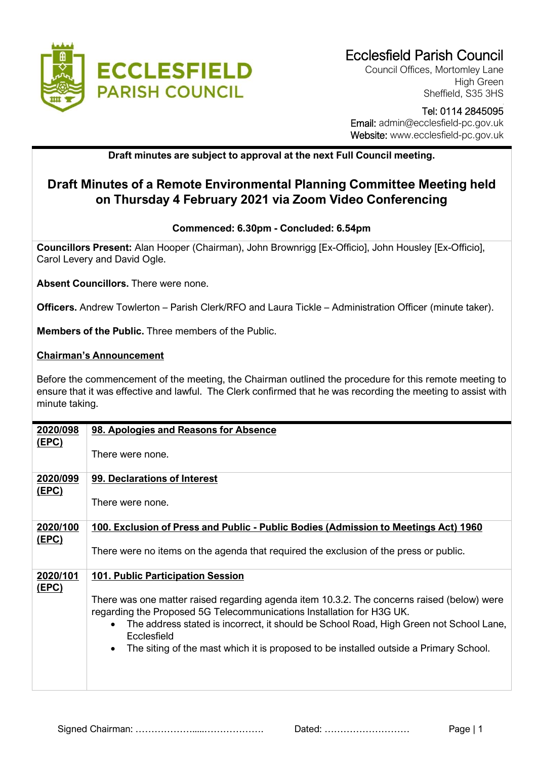

Council Offices, Mortomley Lane High Green Sheffield, S35 3HS

## Tel: 0114 2845095 Email: admin@ecclesfield-pc.gov.uk Website: www.ecclesfield-pc.gov.uk

**Draft minutes are subject to approval at the next Full Council meeting.** 

## **Draft Minutes of a Remote Environmental Planning Committee Meeting held on Thursday 4 February 2021 via Zoom Video Conferencing**

## **Commenced: 6.30pm - Concluded: 6.54pm**

**Councillors Present:** Alan Hooper (Chairman), John Brownrigg [Ex-Officio], John Housley [Ex-Officio], Carol Levery and David Ogle.

**Absent Councillors.** There were none.

**Officers.** Andrew Towlerton – Parish Clerk/RFO and Laura Tickle – Administration Officer (minute taker).

**Members of the Public.** Three members of the Public.

## **Chairman's Announcement**

Before the commencement of the meeting, the Chairman outlined the procedure for this remote meeting to ensure that it was effective and lawful. The Clerk confirmed that he was recording the meeting to assist with minute taking.

| 2020/098     | 98. Apologies and Reasons for Absence                                                                              |
|--------------|--------------------------------------------------------------------------------------------------------------------|
| <u>(EPC)</u> |                                                                                                                    |
|              | There were none.                                                                                                   |
|              |                                                                                                                    |
| 2020/099     | 99. Declarations of Interest                                                                                       |
| <u>(EPC)</u> |                                                                                                                    |
|              | There were none.                                                                                                   |
|              |                                                                                                                    |
| 2020/100     | 100. Exclusion of Press and Public - Public Bodies (Admission to Meetings Act) 1960                                |
| <u>(EPC)</u> |                                                                                                                    |
|              | There were no items on the agenda that required the exclusion of the press or public.                              |
|              |                                                                                                                    |
| 2020/101     | <b>101. Public Participation Session</b>                                                                           |
| (EPC)        |                                                                                                                    |
|              |                                                                                                                    |
|              | There was one matter raised regarding agenda item 10.3.2. The concerns raised (below) were                         |
|              | regarding the Proposed 5G Telecommunications Installation for H3G UK.                                              |
|              | The address stated is incorrect, it should be School Road, High Green not School Lane,<br>$\bullet$<br>Ecclesfield |
|              | The siting of the mast which it is proposed to be installed outside a Primary School.<br>$\bullet$                 |
|              |                                                                                                                    |
|              |                                                                                                                    |
|              |                                                                                                                    |
|              |                                                                                                                    |

Signed Chairman: ……………….....………………. Dated: ……………………… Page | 1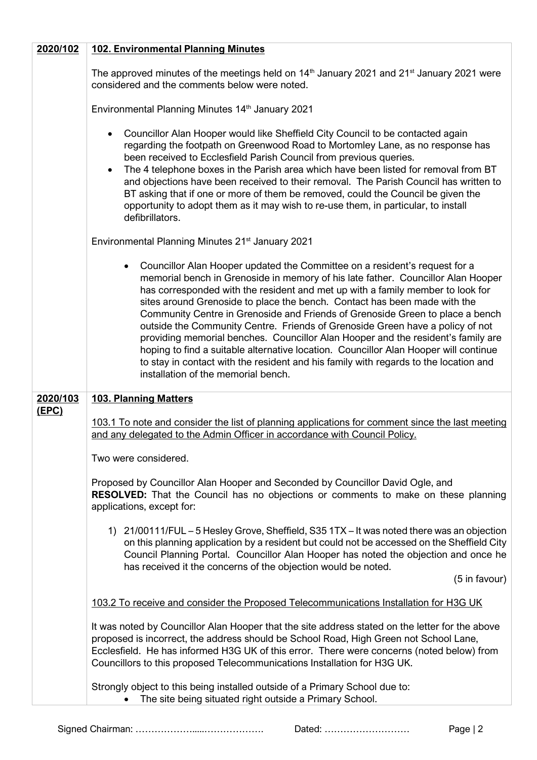| 2020/102 | <b>102. Environmental Planning Minutes</b>                                                                                                                                                                                                                                                                                                                                                                                                                                                                                                                                                                                                                                                                                                                                                                      |
|----------|-----------------------------------------------------------------------------------------------------------------------------------------------------------------------------------------------------------------------------------------------------------------------------------------------------------------------------------------------------------------------------------------------------------------------------------------------------------------------------------------------------------------------------------------------------------------------------------------------------------------------------------------------------------------------------------------------------------------------------------------------------------------------------------------------------------------|
|          | The approved minutes of the meetings held on 14 <sup>th</sup> January 2021 and 21 <sup>st</sup> January 2021 were<br>considered and the comments below were noted.                                                                                                                                                                                                                                                                                                                                                                                                                                                                                                                                                                                                                                              |
|          | Environmental Planning Minutes 14 <sup>th</sup> January 2021                                                                                                                                                                                                                                                                                                                                                                                                                                                                                                                                                                                                                                                                                                                                                    |
|          | Councillor Alan Hooper would like Sheffield City Council to be contacted again<br>regarding the footpath on Greenwood Road to Mortomley Lane, as no response has<br>been received to Ecclesfield Parish Council from previous queries.<br>The 4 telephone boxes in the Parish area which have been listed for removal from BT<br>$\bullet$<br>and objections have been received to their removal. The Parish Council has written to<br>BT asking that if one or more of them be removed, could the Council be given the<br>opportunity to adopt them as it may wish to re-use them, in particular, to install<br>defibrillators.                                                                                                                                                                                |
|          | Environmental Planning Minutes 21 <sup>st</sup> January 2021                                                                                                                                                                                                                                                                                                                                                                                                                                                                                                                                                                                                                                                                                                                                                    |
|          | Councillor Alan Hooper updated the Committee on a resident's request for a<br>٠<br>memorial bench in Grenoside in memory of his late father. Councillor Alan Hooper<br>has corresponded with the resident and met up with a family member to look for<br>sites around Grenoside to place the bench. Contact has been made with the<br>Community Centre in Grenoside and Friends of Grenoside Green to place a bench<br>outside the Community Centre. Friends of Grenoside Green have a policy of not<br>providing memorial benches. Councillor Alan Hooper and the resident's family are<br>hoping to find a suitable alternative location. Councillor Alan Hooper will continue<br>to stay in contact with the resident and his family with regards to the location and<br>installation of the memorial bench. |
| 2020/103 | <b>103. Planning Matters</b>                                                                                                                                                                                                                                                                                                                                                                                                                                                                                                                                                                                                                                                                                                                                                                                    |
| (EPC)    | 103.1 To note and consider the list of planning applications for comment since the last meeting<br>and any delegated to the Admin Officer in accordance with Council Policy.<br>Two were considered.                                                                                                                                                                                                                                                                                                                                                                                                                                                                                                                                                                                                            |
|          | Proposed by Councillor Alan Hooper and Seconded by Councillor David Ogle, and<br><b>RESOLVED:</b> That the Council has no objections or comments to make on these planning<br>applications, except for:                                                                                                                                                                                                                                                                                                                                                                                                                                                                                                                                                                                                         |
|          | 1) 21/00111/FUL – 5 Hesley Grove, Sheffield, S35 1TX – It was noted there was an objection<br>on this planning application by a resident but could not be accessed on the Sheffield City<br>Council Planning Portal. Councillor Alan Hooper has noted the objection and once he<br>has received it the concerns of the objection would be noted.<br>(5 in favour)                                                                                                                                                                                                                                                                                                                                                                                                                                               |
|          | 103.2 To receive and consider the Proposed Telecommunications Installation for H3G UK                                                                                                                                                                                                                                                                                                                                                                                                                                                                                                                                                                                                                                                                                                                           |
|          | It was noted by Councillor Alan Hooper that the site address stated on the letter for the above<br>proposed is incorrect, the address should be School Road, High Green not School Lane,<br>Ecclesfield. He has informed H3G UK of this error. There were concerns (noted below) from<br>Councillors to this proposed Telecommunications Installation for H3G UK.                                                                                                                                                                                                                                                                                                                                                                                                                                               |
|          | Strongly object to this being installed outside of a Primary School due to:<br>The site being situated right outside a Primary School.                                                                                                                                                                                                                                                                                                                                                                                                                                                                                                                                                                                                                                                                          |